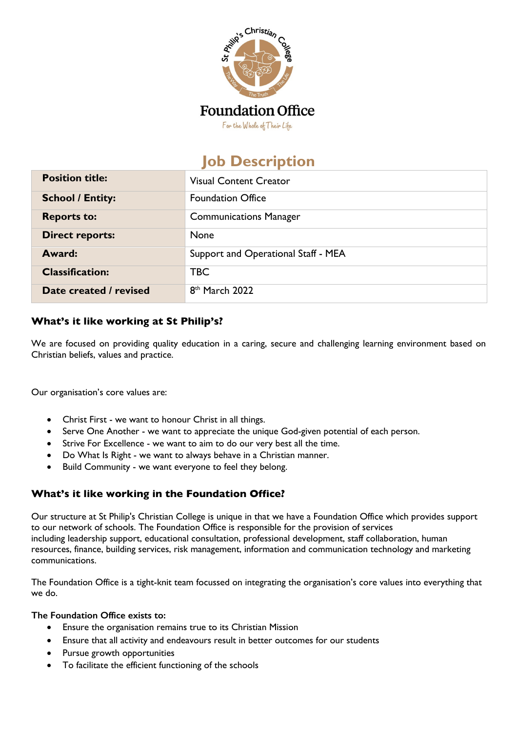

# **Job Description**

| <b>Position title:</b>  | <b>Visual Content Creator</b>       |
|-------------------------|-------------------------------------|
| <b>School / Entity:</b> | <b>Foundation Office</b>            |
| <b>Reports to:</b>      | <b>Communications Manager</b>       |
| <b>Direct reports:</b>  | None                                |
| Award:                  | Support and Operational Staff - MEA |
| <b>Classification:</b>  | <b>TBC</b>                          |
| Date created / revised  | 8 <sup>th</sup> March 2022          |

## **What's it like working at St Philip's?**

We are focused on providing quality education in a caring, secure and challenging learning environment based on Christian beliefs, values and practice.

Our organisation's core values are:

- Christ First we want to honour Christ in all things.
- Serve One Another we want to appreciate the unique God-given potential of each person.
- Strive For Excellence we want to aim to do our very best all the time.
- Do What Is Right we want to always behave in a Christian manner.
- Build Community we want everyone to feel they belong.

## **What's it like working in the Foundation Office?**

Our structure at St Philip's Christian College is unique in that we have a Foundation Office which provides support to our network of schools. The Foundation Office is responsible for the provision of services including leadership support, educational consultation, professional development, staff collaboration, human resources, finance, building services, risk management, information and communication technology and marketing communications.

The Foundation Office is a tight-knit team focussed on integrating the organisation's core values into everything that we do.

#### **The Foundation Office exists to:**

- Ensure the organisation remains true to its Christian Mission
- Ensure that all activity and endeavours result in better outcomes for our students
- Pursue growth opportunities
- To facilitate the efficient functioning of the schools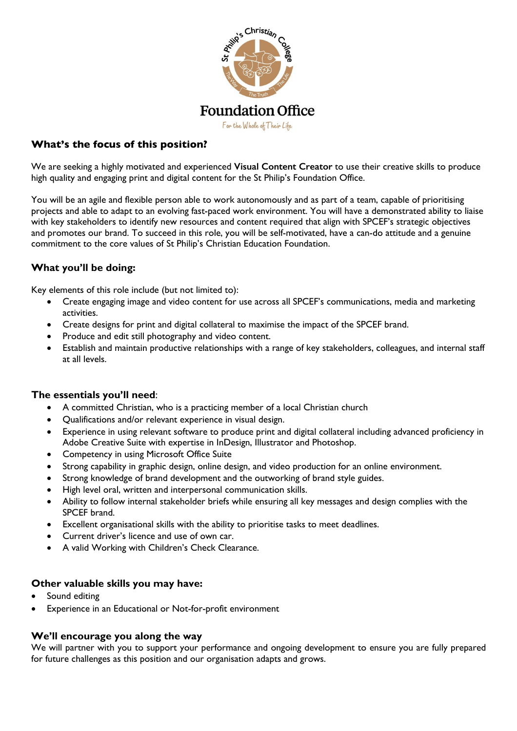

## **What's the focus of this position?**

We are seeking a highly motivated and experienced **Visual Content Creator** to use their creative skills to produce high quality and engaging print and digital content for the St Philip's Foundation Office.

You will be an agile and flexible person able to work autonomously and as part of a team, capable of prioritising projects and able to adapt to an evolving fast-paced work environment. You will have a demonstrated ability to liaise with key stakeholders to identify new resources and content required that align with SPCEF's strategic objectives and promotes our brand. To succeed in this role, you will be self-motivated, have a can-do attitude and a genuine commitment to the core values of St Philip's Christian Education Foundation.

## **What you'll be doing:**

Key elements of this role include (but not limited to):

- Create engaging image and video content for use across all SPCEF's communications, media and marketing activities.
- Create designs for print and digital collateral to maximise the impact of the SPCEF brand.
- Produce and edit still photography and video content.
- Establish and maintain productive relationships with a range of key stakeholders, colleagues, and internal staff at all levels.

#### **The essentials you'll need**:

- A committed Christian, who is a practicing member of a local Christian church
- Qualifications and/or relevant experience in visual design.
- Experience in using relevant software to produce print and digital collateral including advanced proficiency in Adobe Creative Suite with expertise in InDesign, Illustrator and Photoshop.
- Competency in using Microsoft Office Suite
- Strong capability in graphic design, online design, and video production for an online environment.
- Strong knowledge of brand development and the outworking of brand style guides.
- High level oral, written and interpersonal communication skills.
- Ability to follow internal stakeholder briefs while ensuring all key messages and design complies with the SPCEF brand.
- Excellent organisational skills with the ability to prioritise tasks to meet deadlines.
- Current driver's licence and use of own car.
- A valid Working with Children's Check Clearance.

#### **Other valuable skills you may have:**

- Sound editing
- Experience in an Educational or Not-for-profit environment

#### **We'll encourage you along the way**

We will partner with you to support your performance and ongoing development to ensure you are fully prepared for future challenges as this position and our organisation adapts and grows.